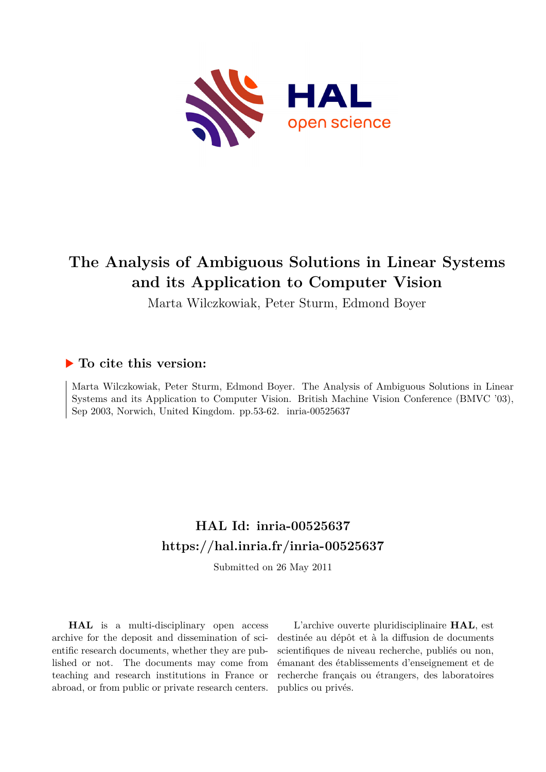

# **The Analysis of Ambiguous Solutions in Linear Systems and its Application to Computer Vision**

Marta Wilczkowiak, Peter Sturm, Edmond Boyer

# **To cite this version:**

Marta Wilczkowiak, Peter Sturm, Edmond Boyer. The Analysis of Ambiguous Solutions in Linear Systems and its Application to Computer Vision. British Machine Vision Conference (BMVC '03), Sep 2003, Norwich, United Kingdom. pp.53-62. inria-00525637

# **HAL Id: inria-00525637 <https://hal.inria.fr/inria-00525637>**

Submitted on 26 May 2011

**HAL** is a multi-disciplinary open access archive for the deposit and dissemination of scientific research documents, whether they are published or not. The documents may come from teaching and research institutions in France or abroad, or from public or private research centers.

L'archive ouverte pluridisciplinaire **HAL**, est destinée au dépôt et à la diffusion de documents scientifiques de niveau recherche, publiés ou non, émanant des établissements d'enseignement et de recherche français ou étrangers, des laboratoires publics ou privés.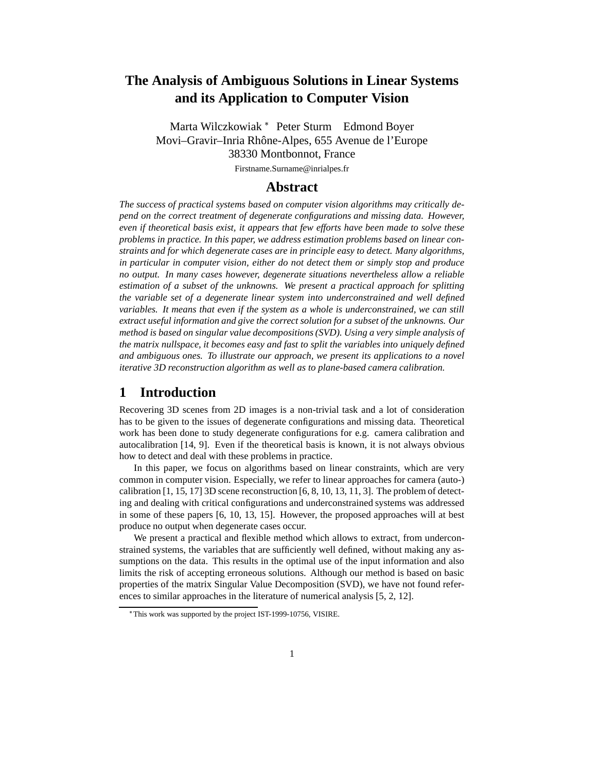# **The Analysis of Ambiguous Solutions in Linear Systems and its Application to Computer Vision**

Marta Wilczkowiak Peter Sturm Edmond Boyer Movi–Gravir–Inria Rhône-Alpes, 655 Avenue de l'Europe 38330 Montbonnot, France

Firstname.Surname@inrialpes.fr

## **Abstract**

*The success of practical systems based on computer vision algorithms may critically depend on the correct treatment of degenerate configurations and missing data. However, even if theoretical basis exist, it appears that few efforts have been made to solve these problems in practice. In this paper, we address estimation problems based on linear constraints and for which degenerate cases are in principle easy to detect. Many algorithms, in particular in computer vision, either do not detect them or simply stop and produce no output. In many cases however, degenerate situations nevertheless allow a reliable estimation of a subset of the unknowns. We present a practical approach for splitting the variable set of a degenerate linear system into underconstrained and well defined variables. It means that even if the system as a whole is underconstrained, we can still extract useful information and give the correct solution for a subset of the unknowns. Our method is based on singular value decompositions (SVD). Using a very simple analysis of the matrix nullspace, it becomes easy and fast to split the variables into uniquely defined and ambiguous ones. To illustrate our approach, we present its applications to a novel iterative 3D reconstruction algorithm as well as to plane-based camera calibration.*

# **1 Introduction**

Recovering 3D scenes from 2D images is a non-trivial task and a lot of consideration has to be given to the issues of degenerate configurations and missing data. Theoretical work has been done to study degenerate configurations for e.g. camera calibration and autocalibration [14, 9]. Even if the theoretical basis is known, it is not always obvious how to detect and deal with these problems in practice.

In this paper, we focus on algorithms based on linear constraints, which are very common in computer vision. Especially, we refer to linear approaches for camera (auto-) calibration  $[1, 15, 17]$  3D scene reconstruction  $[6, 8, 10, 13, 11, 3]$ . The problem of detecting and dealing with critical configurations and underconstrained systems was addressed in some of these papers [6, 10, 13, 15]. However, the proposed approaches will at best produce no output when degenerate cases occur.

We present a practical and flexible method which allows to extract, from underconstrained systems, the variables that are sufficiently well defined, without making any assumptions on the data. This results in the optimal use of the input information and also limits the risk of accepting erroneous solutions. Although our method is based on basic properties of the matrix Singular Value Decomposition (SVD), we have not found references to similar approaches in the literature of numerical analysis [5, 2, 12].

This work was supported by the project IST-1999-10756, VISIRE.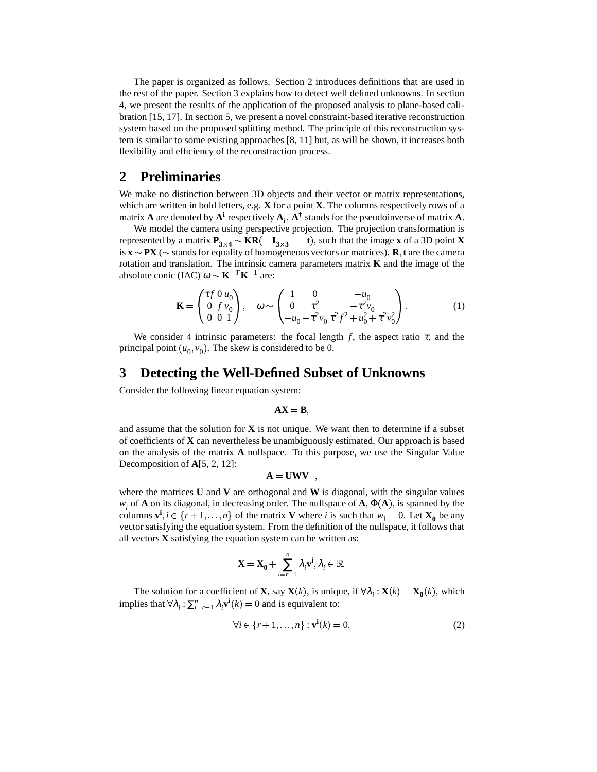The paper is organized as follows. Section 2 introduces definitions that are used in the rest of the paper. Section 3 explains how to detect well defined unknowns. In section 4, we present the results of the application of the proposed analysis to plane-based calibration [15, 17]. In section 5, we present a novel constraint-based iterative reconstruction system based on the proposed splitting method. The principle of this reconstruction system is similar to some existing approaches [8, 11] but, as will be shown, it increases both flexibility and efficiency of the reconstruction process.

# **2 Preliminaries**

We make no distinction between 3D objects and their vector or matrix representations, which are written in bold letters, e.g. **X** for a point **X**. The columns respectively rows of a matrix **A** are denoted by  $A^i$  respectively  $A_i$ .  $A^{\dagger}$  stands for the pseudoinverse of matrix **A**.

We model the camera using perspective projection. The projection transformation is represented by a matrix  $P_{3\times 4} \sim KR$   $\left($   $\mathbf{I}_{3\times 3}$   $\right| -t$ , such that the image **x** of a 3D point **X** is  $\mathbf{x} \sim \mathbf{PX}$  ( $\sim$  stands for equality of homogeneous vectors or matrices). **R**, **t** are the camera rotation and translation. The intrinsic camera parameters matrix **K** and the image of the absolute conic (IAC)  $\boldsymbol{\omega} \sim \mathbf{K}^{-T} \mathbf{K}^{-1}$  are:

$$
\mathbf{K} = \begin{pmatrix} \tau f & 0 & u_0 \\ 0 & f & v_0 \\ 0 & 0 & 1 \end{pmatrix}, \quad \omega \sim \begin{pmatrix} 1 & 0 & -u_0 \\ 0 & \tau^2 & -\tau^2 v_0 \\ -u_0 - \tau^2 v_0 & \tau^2 f^2 + u_0^2 + \tau^2 v_0^2 \end{pmatrix}.
$$
 (1)

We consider 4 intrinsic parameters: the focal length  $f$ , the aspect ratio  $\tau$ , and the principal point  $(u_0, v_0)$ . The skew is considered to be 0.

### **3 Detecting the Well-Defined Subset of Unknowns**

Consider the following linear equation system:

$$
AX = B,
$$

and assume that the solution for  $\bf{X}$  is not unique. We want then to determine if a subset of coefficients of **X** can nevertheless be unambiguously estimated. Our approach is based on the analysis of the matrix **A** nullspace. To this purpose, we use the Singular Value Decomposition of **A**[5, 2, 12]:

$$
\mathbf{A} = \mathbf{U}\mathbf{W}\mathbf{V}^{\top},
$$

where the matrices **U** and **V** are orthogonal and **W** is diagonal, with the singular values  $w_i$  of **A** on its diagonal, in decreasing order. The nullspace of **A**,  $\Phi$ (**A**), is spanned by the columns  $\mathbf{v}^i$ ,  $i \in \{r+1, ..., n\}$  of the matrix **V** where *i* is such that  $w_i = 0$ . Let  $\mathbf{X_0}$  be any vector satisfying the equation system. From the definition of the nullspace, it follows that all vectors **X** satisfying the equation system can be written as:

$$
\mathbf{X} = \mathbf{X_0} + \sum_{i=r+1}^n \lambda_i \mathbf{v}^i, \lambda_i \in \mathbb{R}.
$$

The solution for a coefficient of **X**, say **X**(*k*), is unique, if  $\forall \lambda_i : \mathbf{X}(k) = \mathbf{X_0}(k)$ , which implies that  $\forall \lambda_i : \sum_{i=r+1}^n \lambda_i \mathbf{v}^i(k) = 0$  and is equivalent to:

$$
\forall i \in \{r+1,\ldots,n\} : \mathbf{v}^i(k) = 0.
$$
 (2)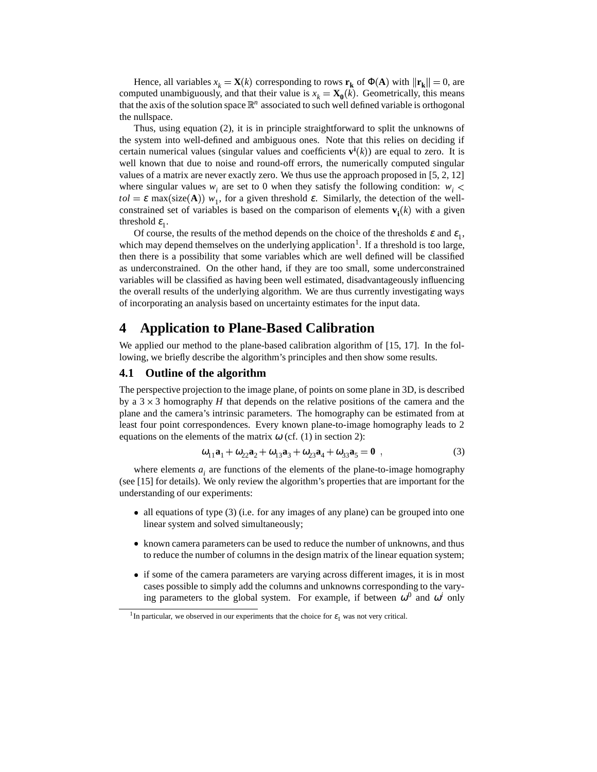Hence, all variables  $x_k = \mathbf{X}(k)$  corresponding to rows  $\mathbf{r_k}$  of  $\Phi(\mathbf{A})$  with  $\|\mathbf{r_k}\| = 0$ , are computed unambiguously, and that their value is  $x_k = \mathbf{X_0}(k)$ . Geometrically, this means that the axis of the solution space  $\mathbb{R}^n$  associated to such well defined variable is orthogonal the nullspace.

Thus, using equation (2), it is in principle straightforward to split the unknowns of the system into well-defined and ambiguous ones. Note that this relies on deciding if certain numerical values (singular values and coefficients  $\mathbf{v}^{\mathbf{i}}(k)$ ) are equal to zero. It is well known that due to noise and round-off errors, the numerically computed singular values of a matrix are never exactly zero. We thus use the approach proposed in [5, 2, 12] where singular values  $w_i$  are set to 0 when they satisfy the following condition:  $w_i$  < *tol* =  $\varepsilon$  max(size(**A**))  $w_1$ , for a given threshold  $\varepsilon$ . Similarly, the detection of the wellconstrained set of variables is based on the comparison of elements  $\mathbf{v}_i(k)$  with a given threshold  $\varepsilon_1$ .

Of course, the results of the method depends on the choice of the thresholds  $\varepsilon$  and  $\varepsilon_1$ , which may depend themselves on the underlying application<sup>1</sup>. If a threshold is too large, then there is a possibility that some variables which are well defined will be classified as underconstrained. On the other hand, if they are too small, some underconstrained variables will be classified as having been well estimated, disadvantageously influencing the overall results of the underlying algorithm. We are thus currently investigating ways of incorporating an analysis based on uncertainty estimates for the input data.

# **4 Application to Plane-Based Calibration**

We applied our method to the plane-based calibration algorithm of [15, 17]. In the following, we briefly describe the algorithm's principles and then show some results.

#### **4.1 Outline of the algorithm**

The perspective projection to the image plane, of points on some plane in 3D, is described by a  $3 \times 3$  homography *H* that depends on the relative positions of the camera and the plane and the camera's intrinsic parameters. The homography can be estimated from at least four point correspondences. Every known plane-to-image homography leads to 2 equations on the elements of the matrix  $\omega$  (cf. (1) in section 2):

$$
\omega_{11} \mathbf{a}_1 + \omega_{22} \mathbf{a}_2 + \omega_{13} \mathbf{a}_3 + \omega_{23} \mathbf{a}_4 + \omega_{33} \mathbf{a}_5 = \mathbf{0} , \qquad (3)
$$

where elements  $a_i$  are functions of the elements of the plane-to-image homography (see [15] for details). We only review the algorithm's properties that are important for the understanding of our experiments:

- all equations of type (3) (i.e. for any images of any plane) can be grouped into one linear system and solved simultaneously;
- known camera parameters can be used to reduce the number of unknowns, and thus to reduce the number of columns in the design matrix of the linear equation system;
- if some of the camera parameters are varying across different images, it is in most cases possible to simply add the columns and unknowns corresponding to the varying parameters to the global system. For example, if between  $\omega^0$  and  $\omega^i$  only

<sup>&</sup>lt;sup>1</sup>In particular, we observed in our experiments that the choice for  $\varepsilon_1$  was not very critical.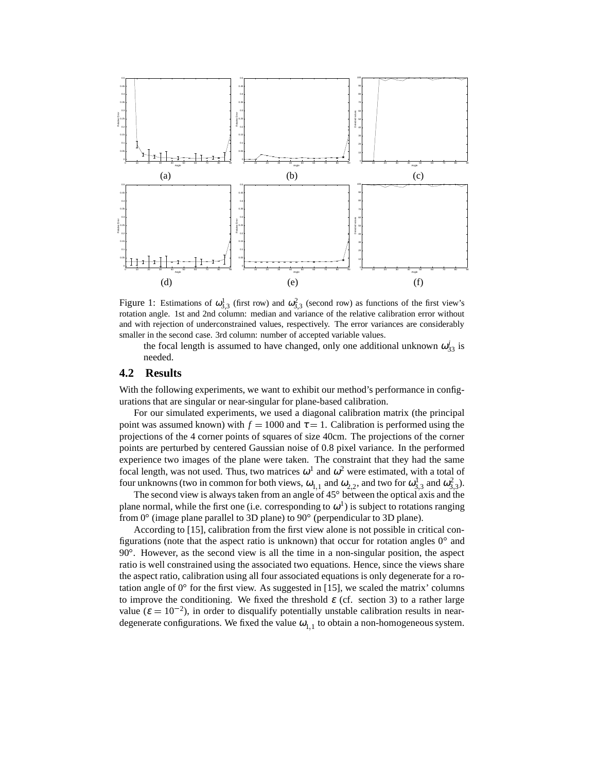

Figure 1: Estimations of  $\omega_{3,3}^1$  (first row) and  $\omega_{3,3}^2$  (second row) as functions of the first view's rotation angle. 1st and 2nd column: median and variance of the relative calibration error without and with rejection of underconstrained values, respectively. The error variances are considerably smaller in the second case. 3rd column: number of accepted variable values.

the focal length is assumed to have changed, only one additional unknown  $\omega_{33}^i$  is needed.

#### **4.2 Results**

With the following experiments, we want to exhibit our method's performance in configurations that are singular or near-singular for plane-based calibration.

For our simulated experiments, we used a diagonal calibration matrix (the principal point was assumed known) with  $f = 1000$  and  $\tau = 1$ . Calibration is performed using the projections of the 4 corner points of squares of size 40cm. The projections of the corner points are perturbed by centered Gaussian noise of 0.8 pixel variance. In the performed experience two images of the plane were taken. The constraint that they had the same focal length, was not used. Thus, two matrices  $\omega^1$  and  $\omega^2$  were estimated, with a total of four unknowns (two in common for both views,  $\omega_{1,1}$  and  $\omega_{2,2}$ , and two for  $\omega_{3,3}^1$  and  $\omega_{3,3}^2$ ).

The second view is always taken from an angle of  $45^{\circ}$  between the optical axis and the plane normal, while the first one (i.e. corresponding to  $\omega^1$ ) is subject to rotations ranging from  $0^{\circ}$  (image plane parallel to 3D plane) to  $90^{\circ}$  (perpendicular to 3D plane).

According to [15], calibration from the first view alone is not possible in critical configurations (note that the aspect ratio is unknown) that occur for rotation angles  $0^{\circ}$  and 90°. However, as the second view is all the time in a non-singular position, the aspect ratio is well constrained using the associated two equations. Hence, since the views share the aspect ratio, calibration using all four associated equations is only degenerate for a rotation angle of  $0^{\circ}$  for the first view. As suggested in [15], we scaled the matrix' columns to improve the conditioning. We fixed the threshold  $\varepsilon$  (cf. section 3) to a rather large value ( $\varepsilon = 10^{-2}$ ), in order to disqualify potentially unstable calibration results in neardegenerate configurations. We fixed the value  $\omega_{1,1}$  to obtain a non-homogeneous system.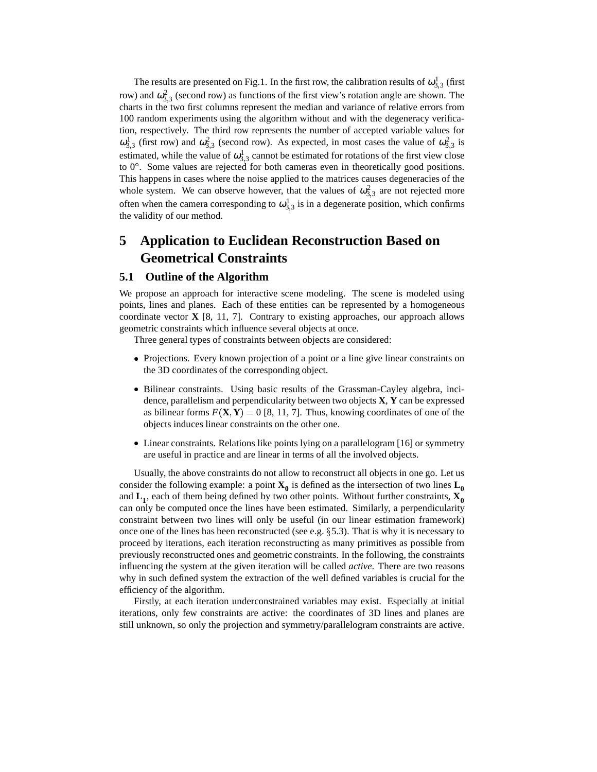The results are presented on Fig.1. In the first row, the calibration results of  $\omega_{3,3}^1$  (first row) and  $\omega_{3,3}^2$  (second row) as functions of the first view's rotation angle are shown. The charts in the two first columns represent the median and variance of relative errors from 100 random experiments using the algorithm without and with the degeneracy verification, respectively. The third row represents the number of accepted variable values for  $\omega_{3,3}^1$  (first row) and  $\omega_{3,3}^2$  (second row). As expected, in most cases the value of  $\omega_{3,3}^2$  is estimated, while the value of  $\omega_{3,3}^1$  cannot be estimated for rotations of the first view close to  $0^\circ$ . Some values are rejected for both cameras even in theoretically good positions. This happens in cases where the noise applied to the matrices causes degeneracies of the whole system. We can observe however, that the values of  $\omega_{3,3}^2$  are not rejected more often when the camera corresponding to  $\omega_{3,3}^1$  is in a degenerate position, which confirms the validity of our method.

# **5 Application to Euclidean Reconstruction Based on Geometrical Constraints**

#### **5.1 Outline of the Algorithm**

We propose an approach for interactive scene modeling. The scene is modeled using points, lines and planes. Each of these entities can be represented by a homogeneous coordinate vector  $\bf{X}$  [8, 11, 7]. Contrary to existing approaches, our approach allows geometric constraints which influence several objects at once.

Three general types of constraints between objects are considered:

- Projections. Every known projection of a point or a line give linear constraints on the 3D coordinates of the corresponding object.
- Bilinear constraints. Using basic results of the Grassman-Cayley algebra, incidence, parallelism and perpendicularity between two objects **X**, **Y** can be expressed as bilinear forms  $F(\mathbf{X}, \mathbf{Y}) = 0$  [8, 11, 7]. Thus, knowing coordinates of one of the objects induces linear constraints on the other one.
- Linear constraints. Relations like points lying on a parallelogram [16] or symmetry are useful in practice and are linear in terms of all the involved objects.

Usually, the above constraints do not allow to reconstruct all objects in one go. Let us consider the following example: a point  $\mathbf{X_0}$  is defined as the intersection of two lines  $\mathbf{L_0}$ and **L<sup>1</sup>** , each of them being defined by two other points. Without further constraints, **X<sup>0</sup>** can only be computed once the lines have been estimated. Similarly, a perpendicularity constraint between two lines will only be useful (in our linear estimation framework) once one of the lines has been reconstructed (see e.g. 5.3). That is why it is necessary to proceed by iterations, each iteration reconstructing as many primitives as possible from previously reconstructed ones and geometric constraints. In the following, the constraints influencing the system at the given iteration will be called *active*. There are two reasons why in such defined system the extraction of the well defined variables is crucial for the efficiency of the algorithm.

Firstly, at each iteration underconstrained variables may exist. Especially at initial iterations, only few constraints are active: the coordinates of 3D lines and planes are still unknown, so only the projection and symmetry/parallelogram constraints are active.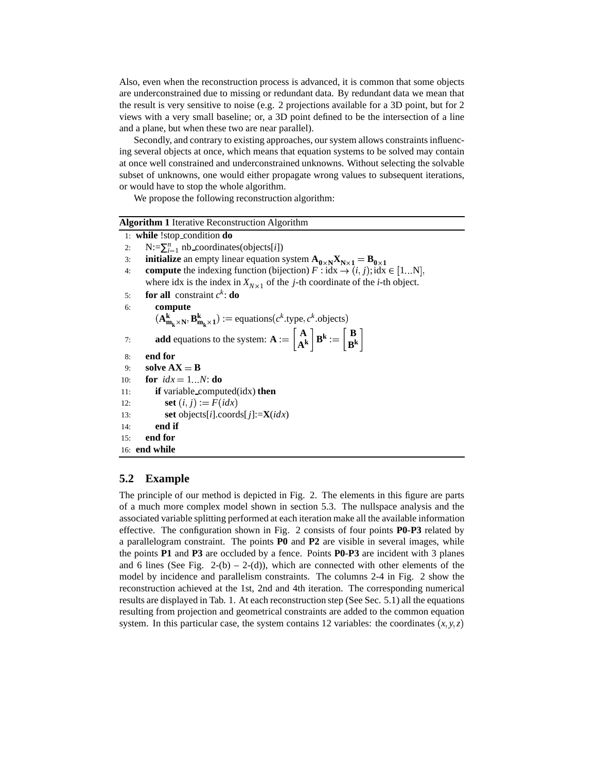Also, even when the reconstruction process is advanced, it is common that some objects are underconstrained due to missing or redundant data. By redundant data we mean that the result is very sensitive to noise (e.g. 2 projections available for a 3D point, but for 2 views with a very small baseline; or, a 3D point defined to be the intersection of a line and a plane, but when these two are near parallel).

Secondly, and contrary to existing approaches, our system allows constraints influencing several objects at once, which means that equation systems to be solved may contain at once well constrained and underconstrained unknowns. Without selecting the solvable subset of unknowns, one would either propagate wrong values to subsequent iterations, or would have to stop the whole algorithm.

We propose the following reconstruction algorithm:

| <b>Algorithm 1</b> Iterative Reconstruction Algorithm                                                                                                                 |  |  |  |  |  |
|-----------------------------------------------------------------------------------------------------------------------------------------------------------------------|--|--|--|--|--|
| 1: while !stop_condition $do$                                                                                                                                         |  |  |  |  |  |
| $N:=\sum_{i=1}^n$ nb coordinates(objects[ <i>i</i> ])<br>2:                                                                                                           |  |  |  |  |  |
| <b>initialize</b> an empty linear equation system $A_{0 \times N}X_{N \times 1} = B_{0 \times 1}$<br>3:                                                               |  |  |  |  |  |
| <b>compute</b> the indexing function (bijection) $F : idx \to (i, j)$ ; idx $\in [1N]$ ,<br>4:                                                                        |  |  |  |  |  |
| where idx is the index in $X_{N \times 1}$ of the <i>j</i> -th coordinate of the <i>i</i> -th object.                                                                 |  |  |  |  |  |
| <b>for all</b> constraint $c^k$ : <b>do</b><br>5:                                                                                                                     |  |  |  |  |  |
| 6:<br>compute                                                                                                                                                         |  |  |  |  |  |
| $(\mathbf{A}_{\mathbf{m}_{k}\times\mathbf{N}}^{\mathbf{k}}, \mathbf{B}_{\mathbf{m}_{k}\times\mathbf{1}}^{\mathbf{k}}) :=$ equations( $c^{k}$ .type, $c^{k}$ .objects) |  |  |  |  |  |
| <b>add</b> equations to the system: $A := \begin{bmatrix} A \\ Ak \end{bmatrix} B^k := \begin{bmatrix} B \\ R^k \end{bmatrix}$<br>7:                                  |  |  |  |  |  |
| end for<br>8:                                                                                                                                                         |  |  |  |  |  |
| solve $AX = B$<br>9:                                                                                                                                                  |  |  |  |  |  |
| for $idx = 1N$ : do<br>10:                                                                                                                                            |  |  |  |  |  |
| <b>if</b> variable computed $(\text{idx})$ then<br>11:                                                                                                                |  |  |  |  |  |
| set $(i, j) := F(idx)$<br>12:                                                                                                                                         |  |  |  |  |  |
| set objects[ <i>i</i> ].coords[ <i>j</i> ]:= $X(idx)$<br>13:                                                                                                          |  |  |  |  |  |
| end if<br>14:                                                                                                                                                         |  |  |  |  |  |
| end for<br>15:                                                                                                                                                        |  |  |  |  |  |
| 16: end while                                                                                                                                                         |  |  |  |  |  |

### **5.2 Example**

The principle of our method is depicted in Fig. 2. The elements in this figure are parts of a much more complex model shown in section 5.3. The nullspace analysis and the associated variable splitting performed at each iteration make all the available information effective. The configuration shown in Fig. 2 consists of four points **P0**-**P3** related by a parallelogram constraint. The points **P0** and **P2** are visible in several images, while the points **P1** and **P3** are occluded by a fence. Points **P0**-**P3** are incident with 3 planes and 6 lines (See Fig.  $2-(b) - 2-(d)$ ), which are connected with other elements of the model by incidence and parallelism constraints. The columns 2-4 in Fig. 2 show the reconstruction achieved at the 1st, 2nd and 4th iteration. The corresponding numerical results are displayed in Tab. 1. At each reconstruction step (See Sec. 5.1) all the equations resulting from projection and geometrical constraints are added to the common equation system. In this particular case, the system contains 12 variables: the coordinates  $(x, y, z)$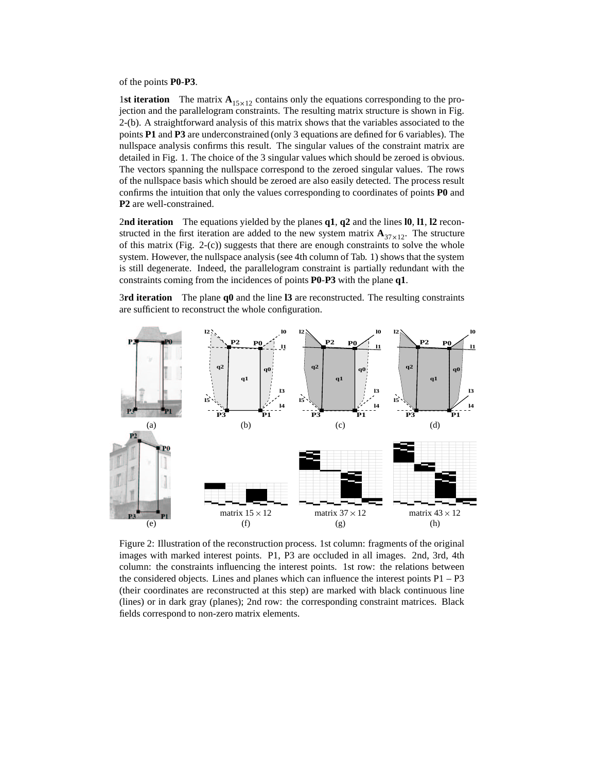of the points **P0**-**P3**.

1st **iteration** The matrix  $A_{15\times12}$  contains only the equations corresponding to the projection and the parallelogram constraints. The resulting matrix structure is shown in Fig. 2-(b). A straightforward analysis of this matrix shows that the variables associated to the points **P1** and **P3** are underconstrained (only 3 equations are defined for 6 variables). The nullspace analysis confirms this result. The singular values of the constraint matrix are detailed in Fig. 1. The choice of the 3 singular values which should be zeroed is obvious. The vectors spanning the nullspace correspond to the zeroed singular values. The rows of the nullspace basis which should be zeroed are also easily detected. The process result confirms the intuition that only the values corresponding to coordinates of points **P0** and **P2** are well-constrained.

2**nd iteration** The equations yielded by the planes **q1**, **q2** and the lines **l0**, **l1**, **l2** reconstructed in the first iteration are added to the new system matrix  $\mathbf{A}_{37 \times 12}$ . The structure of this matrix (Fig. 2-(c)) suggests that there are enough constraints to solve the whole system. However, the nullspace analysis (see 4th column of Tab. 1) shows that the system is still degenerate. Indeed, the parallelogram constraint is partially redundant with the constraints coming from the incidences of points **P0**-**P3** with the plane **q1**.

3**rd iteration** The plane **q0** and the line **l3** are reconstructed. The resulting constraints are sufficient to reconstruct the whole configuration.



Figure 2: Illustration of the reconstruction process. 1st column: fragments of the original images with marked interest points. P1, P3 are occluded in all images. 2nd, 3rd, 4th column: the constraints influencing the interest points. 1st row: the relations between the considered objects. Lines and planes which can influence the interest points  $P1 - P3$ (their coordinates are reconstructed at this step) are marked with black continuous line (lines) or in dark gray (planes); 2nd row: the corresponding constraint matrices. Black fields correspond to non-zero matrix elements.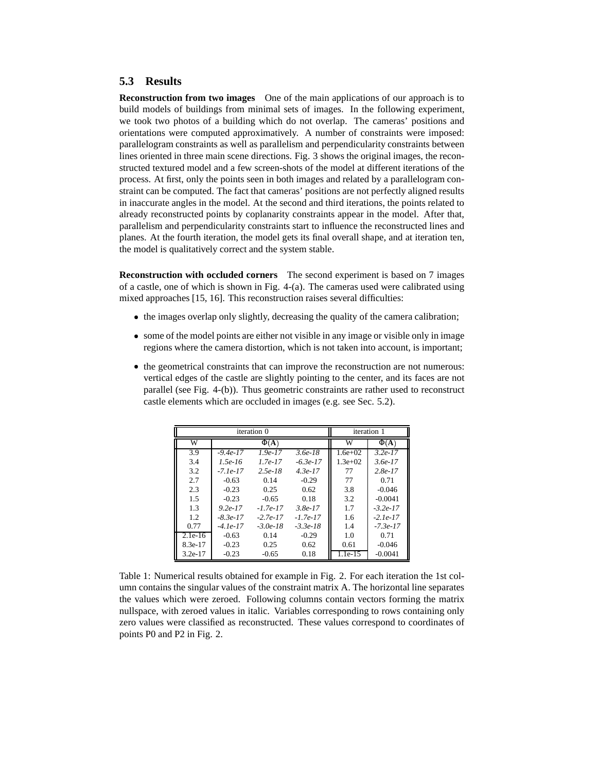### **5.3 Results**

**Reconstruction from two images** One of the main applications of our approach is to build models of buildings from minimal sets of images. In the following experiment, we took two photos of a building which do not overlap. The cameras' positions and orientations were computed approximatively. A number of constraints were imposed: parallelogram constraints as well as parallelism and perpendicularity constraints between lines oriented in three main scene directions. Fig. 3 shows the original images, the reconstructed textured model and a few screen-shots of the model at different iterations of the process. At first, only the points seen in both images and related by a parallelogram constraint can be computed. The fact that cameras' positions are not perfectly aligned results in inaccurate angles in the model. At the second and third iterations, the points related to already reconstructed points by coplanarity constraints appear in the model. After that, parallelism and perpendicularity constraints start to influence the reconstructed lines and planes. At the fourth iteration, the model gets its final overall shape, and at iteration ten, the model is qualitatively correct and the system stable.

**Reconstruction with occluded corners** The second experiment is based on 7 images of a castle, one of which is shown in Fig. 4-(a). The cameras used were calibrated using mixed approaches [15, 16]. This reconstruction raises several difficulties:

- the images overlap only slightly, decreasing the quality of the camera calibration;
- some of the model points are either not visible in any image or visible only in image regions where the camera distortion, which is not taken into account, is important;
- the geometrical constraints that can improve the reconstruction are not numerous: vertical edges of the castle are slightly pointing to the center, and its faces are not parallel (see Fig. 4-(b)). Thus geometric constraints are rather used to reconstruct castle elements which are occluded in images (e.g. see Sec. 5.2).

| iteration 0 |            |            |            | iteration 1 |            |
|-------------|------------|------------|------------|-------------|------------|
| W           | $\Phi(A)$  |            |            | W           | $\Phi(A)$  |
| 3.9         | $-9.4e-17$ | $1.9e-17$  | $3.6e-18$  | $1.6e+02$   | $3.2e-17$  |
| 3.4         | $1.5e-16$  | $1.7e-17$  | $-6.3e-17$ | $1.3e+02$   | $3.6e-17$  |
| 3.2         | $-7.1e-17$ | $2.5e-18$  | $4.3e-17$  | 77          | $2.8e-17$  |
| 2.7         | $-0.63$    | 0.14       | $-0.29$    | 77          | 0.71       |
| 2.3         | $-0.23$    | 0.25       | 0.62       | 3.8         | $-0.046$   |
| 1.5         | $-0.23$    | $-0.65$    | 0.18       | 3.2         | $-0.0041$  |
| 1.3         | $9.2e-17$  | $-1.7e-17$ | $3.8e-17$  | 1.7         | $-3.2e-17$ |
| 1.2         | $-8.3e-17$ | $-2.7e-17$ | $-1.7e-17$ | 1.6         | $-2.1e-17$ |
| 0.77        | $-4.1e-17$ | $-3.0e-18$ | $-3.3e-18$ | 1.4         | $-7.3e-17$ |
| $2.1e-16$   | $-0.63$    | 0.14       | $-0.29$    | 1.0         | 0.71       |
| 8.3e-17     | $-0.23$    | 0.25       | 0.62       | 0.61        | $-0.046$   |
| $3.2e-17$   | $-0.23$    | $-0.65$    | 0.18       | $1.1e-15$   | $-0.0041$  |

Table 1: Numerical results obtained for example in Fig. 2. For each iteration the 1st column contains the singular values of the constraint matrix A. The horizontal line separates the values which were zeroed. Following columns contain vectors forming the matrix nullspace, with zeroed values in italic. Variables corresponding to rows containing only zero values were classified as reconstructed. These values correspond to coordinates of points P0 and P2 in Fig. 2.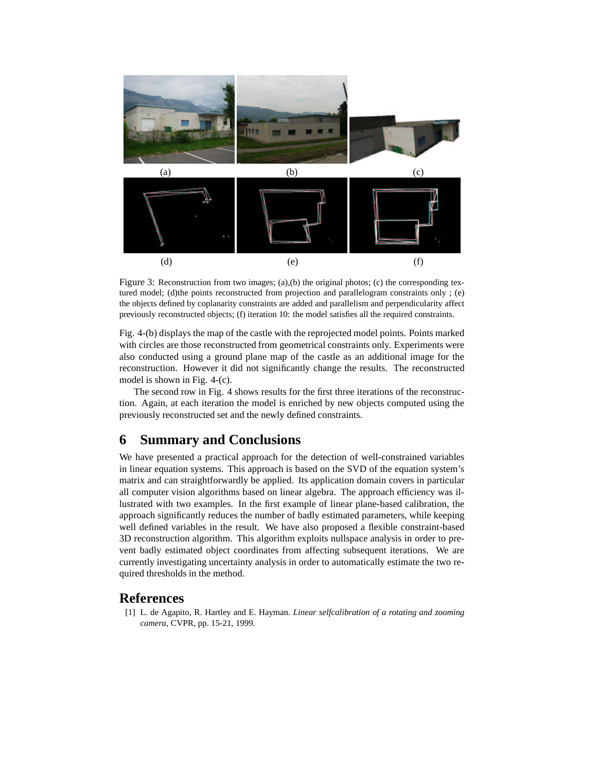

Figure 3: Reconstruction from two images; (a),(b) the original photos; (c) the corresponding textured model; (d)the points reconstructed from projection and parallelogram constraints only ; (e) the objects defined by coplanarity constraints are added and parallelism and perpendicularity affect previously reconstructed objects; (f) iteration 10: the model satisfies all the required constraints.

Fig. 4-(b) displays the map of the castle with the reprojected model points. Points marked with circles are those reconstructed from geometrical constraints only. Experiments were also conducted using a ground plane map of the castle as an additional image for the reconstruction. However it did not significantly change the results. The reconstructed model is shown in Fig. 4-(c).

The second row in Fig. 4 shows results for the first three iterations of the reconstruction. Again, at each iteration the model is enriched by new objects computed using the previously reconstructed set and the newly defined constraints.

# **6 Summary and Conclusions**

We have presented a practical approach for the detection of well-constrained variables in linear equation systems. This approach is based on the SVD of the equation system's matrix and can straightforwardly be applied. Its application domain covers in particular all computer vision algorithms based on linear algebra. The approach efficiency was illustrated with two examples. In the first example of linear plane-based calibration, the approach significantly reduces the number of badly estimated parameters, while keeping well defined variables in the result. We have also proposed a flexible constraint-based 3D reconstruction algorithm. This algorithm exploits nullspace analysis in order to prevent badly estimated object coordinates from affecting subsequent iterations. We are currently investigating uncertainty analysis in order to automatically estimate the two required thresholds in the method.

### **References**

[1] L. de Agapito, R. Hartley and E. Hayman. *Linear selfcalibration of a rotating and zooming camera*, CVPR, pp. 15-21, 1999.